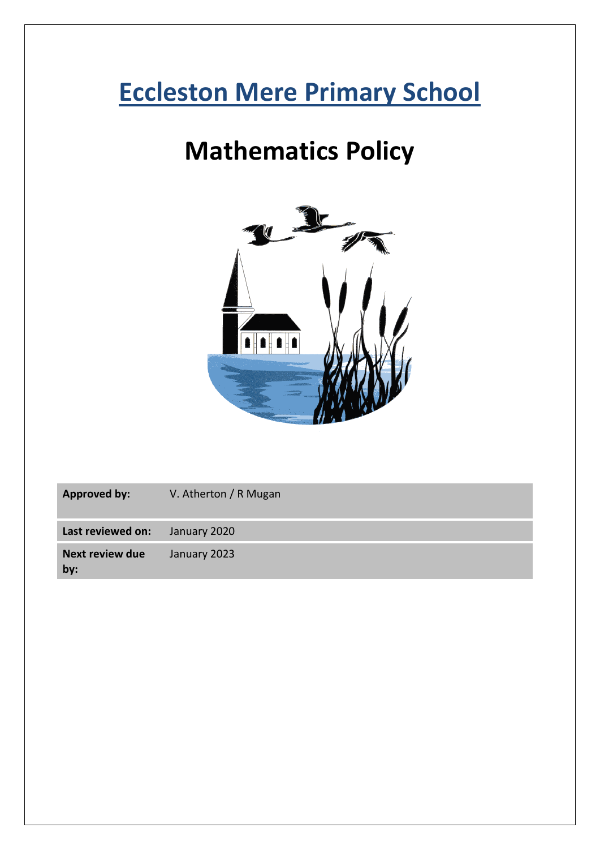# **Eccleston Mere Primary School**

## **Mathematics Policy**



| <b>Approved by:</b>           | V. Atherton / R Mugan |
|-------------------------------|-----------------------|
| Last reviewed on:             | January 2020          |
| <b>Next review due</b><br>by: | January 2023          |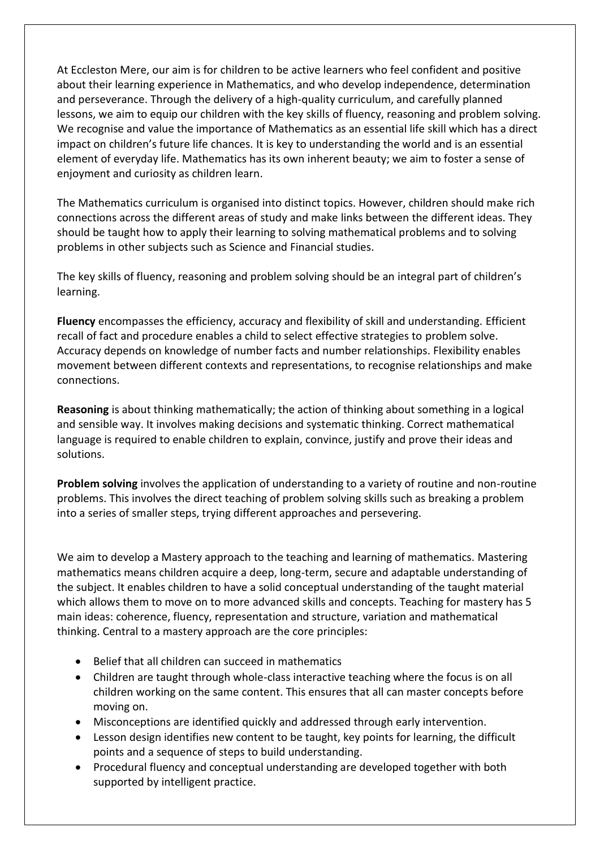At Eccleston Mere, our aim is for children to be active learners who feel confident and positive about their learning experience in Mathematics, and who develop independence, determination and perseverance. Through the delivery of a high-quality curriculum, and carefully planned lessons, we aim to equip our children with the key skills of fluency, reasoning and problem solving. We recognise and value the importance of Mathematics as an essential life skill which has a direct impact on children's future life chances. It is key to understanding the world and is an essential element of everyday life. Mathematics has its own inherent beauty; we aim to foster a sense of enjoyment and curiosity as children learn.

The Mathematics curriculum is organised into distinct topics. However, children should make rich connections across the different areas of study and make links between the different ideas. They should be taught how to apply their learning to solving mathematical problems and to solving problems in other subjects such as Science and Financial studies.

The key skills of fluency, reasoning and problem solving should be an integral part of children's learning.

**Fluency** encompasses the efficiency, accuracy and flexibility of skill and understanding. Efficient recall of fact and procedure enables a child to select effective strategies to problem solve. Accuracy depends on knowledge of number facts and number relationships. Flexibility enables movement between different contexts and representations, to recognise relationships and make connections.

**Reasoning** is about thinking mathematically; the action of thinking about something in a logical and sensible way. It involves making decisions and systematic thinking. Correct mathematical language is required to enable children to explain, convince, justify and prove their ideas and solutions.

**Problem solving** involves the application of understanding to a variety of routine and non-routine problems. This involves the direct teaching of problem solving skills such as breaking a problem into a series of smaller steps, trying different approaches and persevering.

We aim to develop a Mastery approach to the teaching and learning of mathematics. Mastering mathematics means children acquire a deep, long-term, secure and adaptable understanding of the subject. It enables children to have a solid conceptual understanding of the taught material which allows them to move on to more advanced skills and concepts. Teaching for mastery has 5 main ideas: coherence, fluency, representation and structure, variation and mathematical thinking. Central to a mastery approach are the core principles:

- Belief that all children can succeed in mathematics
- Children are taught through whole-class interactive teaching where the focus is on all children working on the same content. This ensures that all can master concepts before moving on.
- Misconceptions are identified quickly and addressed through early intervention.
- Lesson design identifies new content to be taught, key points for learning, the difficult points and a sequence of steps to build understanding.
- Procedural fluency and conceptual understanding are developed together with both supported by intelligent practice.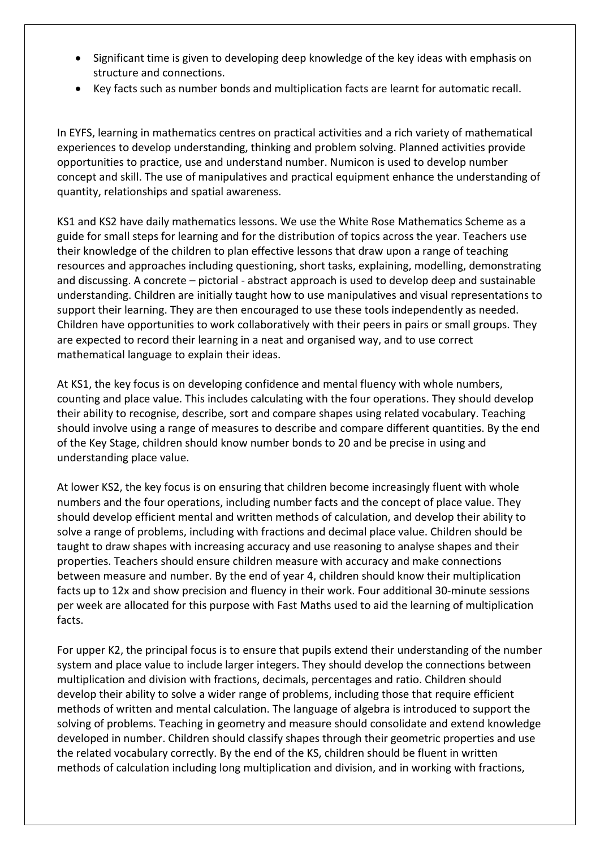- Significant time is given to developing deep knowledge of the key ideas with emphasis on structure and connections.
- Key facts such as number bonds and multiplication facts are learnt for automatic recall.

In EYFS, learning in mathematics centres on practical activities and a rich variety of mathematical experiences to develop understanding, thinking and problem solving. Planned activities provide opportunities to practice, use and understand number. Numicon is used to develop number concept and skill. The use of manipulatives and practical equipment enhance the understanding of quantity, relationships and spatial awareness.

KS1 and KS2 have daily mathematics lessons. We use the White Rose Mathematics Scheme as a guide for small steps for learning and for the distribution of topics across the year. Teachers use their knowledge of the children to plan effective lessons that draw upon a range of teaching resources and approaches including questioning, short tasks, explaining, modelling, demonstrating and discussing. A concrete – pictorial - abstract approach is used to develop deep and sustainable understanding. Children are initially taught how to use manipulatives and visual representations to support their learning. They are then encouraged to use these tools independently as needed. Children have opportunities to work collaboratively with their peers in pairs or small groups. They are expected to record their learning in a neat and organised way, and to use correct mathematical language to explain their ideas.

At KS1, the key focus is on developing confidence and mental fluency with whole numbers, counting and place value. This includes calculating with the four operations. They should develop their ability to recognise, describe, sort and compare shapes using related vocabulary. Teaching should involve using a range of measures to describe and compare different quantities. By the end of the Key Stage, children should know number bonds to 20 and be precise in using and understanding place value.

At lower KS2, the key focus is on ensuring that children become increasingly fluent with whole numbers and the four operations, including number facts and the concept of place value. They should develop efficient mental and written methods of calculation, and develop their ability to solve a range of problems, including with fractions and decimal place value. Children should be taught to draw shapes with increasing accuracy and use reasoning to analyse shapes and their properties. Teachers should ensure children measure with accuracy and make connections between measure and number. By the end of year 4, children should know their multiplication facts up to 12x and show precision and fluency in their work. Four additional 30-minute sessions per week are allocated for this purpose with Fast Maths used to aid the learning of multiplication facts.

For upper K2, the principal focus is to ensure that pupils extend their understanding of the number system and place value to include larger integers. They should develop the connections between multiplication and division with fractions, decimals, percentages and ratio. Children should develop their ability to solve a wider range of problems, including those that require efficient methods of written and mental calculation. The language of algebra is introduced to support the solving of problems. Teaching in geometry and measure should consolidate and extend knowledge developed in number. Children should classify shapes through their geometric properties and use the related vocabulary correctly. By the end of the KS, children should be fluent in written methods of calculation including long multiplication and division, and in working with fractions,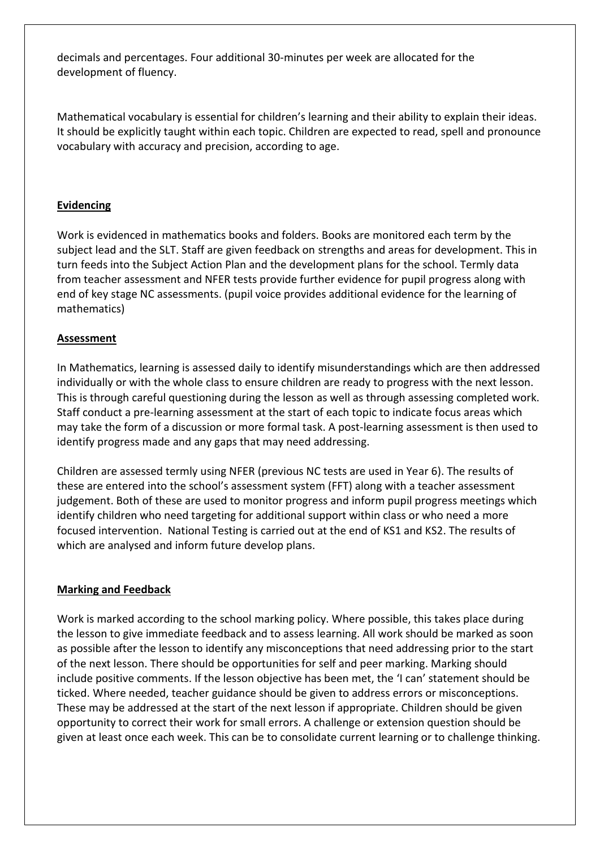decimals and percentages. Four additional 30-minutes per week are allocated for the development of fluency.

Mathematical vocabulary is essential for children's learning and their ability to explain their ideas. It should be explicitly taught within each topic. Children are expected to read, spell and pronounce vocabulary with accuracy and precision, according to age.

### **Evidencing**

Work is evidenced in mathematics books and folders. Books are monitored each term by the subject lead and the SLT. Staff are given feedback on strengths and areas for development. This in turn feeds into the Subject Action Plan and the development plans for the school. Termly data from teacher assessment and NFER tests provide further evidence for pupil progress along with end of key stage NC assessments. (pupil voice provides additional evidence for the learning of mathematics)

#### **Assessment**

In Mathematics, learning is assessed daily to identify misunderstandings which are then addressed individually or with the whole class to ensure children are ready to progress with the next lesson. This is through careful questioning during the lesson as well as through assessing completed work. Staff conduct a pre-learning assessment at the start of each topic to indicate focus areas which may take the form of a discussion or more formal task. A post-learning assessment is then used to identify progress made and any gaps that may need addressing.

Children are assessed termly using NFER (previous NC tests are used in Year 6). The results of these are entered into the school's assessment system (FFT) along with a teacher assessment judgement. Both of these are used to monitor progress and inform pupil progress meetings which identify children who need targeting for additional support within class or who need a more focused intervention. National Testing is carried out at the end of KS1 and KS2. The results of which are analysed and inform future develop plans.

#### **Marking and Feedback**

Work is marked according to the school marking policy. Where possible, this takes place during the lesson to give immediate feedback and to assess learning. All work should be marked as soon as possible after the lesson to identify any misconceptions that need addressing prior to the start of the next lesson. There should be opportunities for self and peer marking. Marking should include positive comments. If the lesson objective has been met, the 'I can' statement should be ticked. Where needed, teacher guidance should be given to address errors or misconceptions. These may be addressed at the start of the next lesson if appropriate. Children should be given opportunity to correct their work for small errors. A challenge or extension question should be given at least once each week. This can be to consolidate current learning or to challenge thinking.